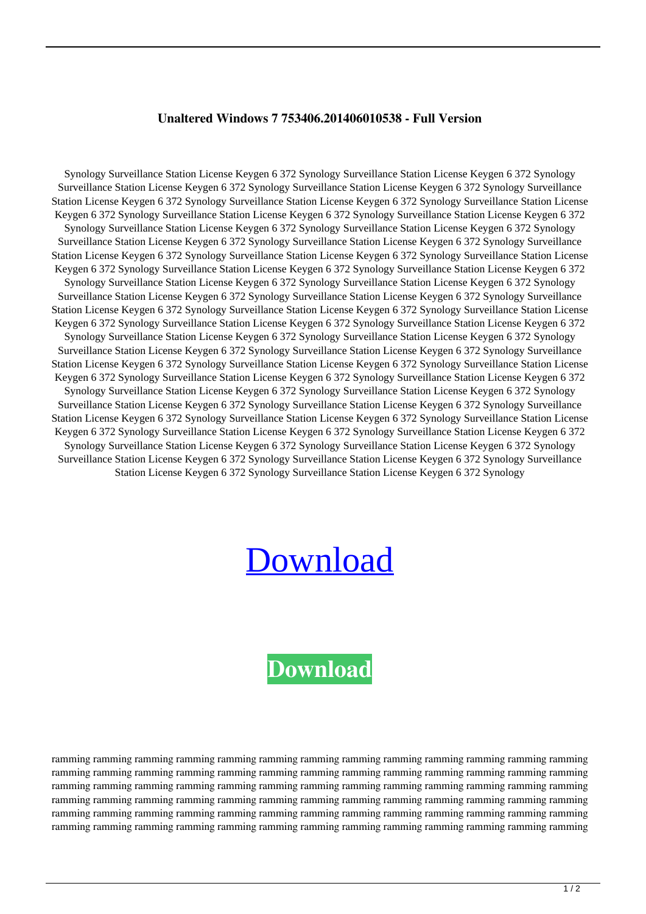## **Unaltered Windows 7 753406.201406010538 - Full Version**

Synology Surveillance Station License Keygen 6 372 Synology Surveillance Station License Keygen 6 372 Synology Surveillance Station License Keygen 6 372 Synology Surveillance Station License Keygen 6 372 Synology Surveillance Station License Keygen 6 372 Synology Surveillance Station License Keygen 6 372 Synology Surveillance Station License Keygen 6 372 Synology Surveillance Station License Keygen 6 372 Synology Surveillance Station License Keygen 6 372 Synology Surveillance Station License Keygen 6 372 Synology Surveillance Station License Keygen 6 372 Synology Surveillance Station License Keygen 6 372 Synology Surveillance Station License Keygen 6 372 Synology Surveillance Station License Keygen 6 372 Synology Surveillance Station License Keygen 6 372 Synology Surveillance Station License Keygen 6 372 Synology Surveillance Station License Keygen 6 372 Synology Surveillance Station License Keygen 6 372 Synology Surveillance Station License Keygen 6 372 Synology Surveillance Station License Keygen 6 372 Synology Surveillance Station License Keygen 6 372 Synology Surveillance Station License Keygen 6 372 Synology Surveillance Station License Keygen 6 372 Synology Surveillance Station License Keygen 6 372 Synology Surveillance Station License Keygen 6 372 Synology Surveillance Station License Keygen 6 372 Synology Surveillance Station License Keygen 6 372 Synology Surveillance Station License Keygen 6 372 Synology Surveillance Station License Keygen 6 372 Synology Surveillance Station License Keygen 6 372 Synology Surveillance Station License Keygen 6 372 Synology Surveillance Station License Keygen 6 372 Synology Surveillance Station License Keygen 6 372 Synology Surveillance Station License Keygen 6 372 Synology Surveillance Station License Keygen 6 372 Synology Surveillance Station License Keygen 6 372 Synology Surveillance Station License Keygen 6 372 Synology Surveillance Station License Keygen 6 372 Synology Surveillance Station License Keygen 6 372 Synology Surveillance Station License Keygen 6 372 Synology Surveillance Station License Keygen 6 372 Synology Surveillance Station License Keygen 6 372 Synology Surveillance Station License Keygen 6 372 Synology Surveillance Station License Keygen 6 372 Synology Surveillance Station License Keygen 6 372 Synology Surveillance Station License Keygen 6 372 Synology Surveillance Station License Keygen 6 372 Synology Surveillance Station License Keygen 6 372 Synology Surveillance Station License Keygen 6 372 Synology Surveillance Station License Keygen 6 372 Synology Surveillance Station License Keygen 6 372 Synology

## [Download](https://byltly.com/2l0w08)

## **[Download](https://byltly.com/2l0w08)**

ramming ramming ramming ramming ramming ramming ramming ramming ramming ramming ramming ramming ramming ramming ramming ramming ramming ramming ramming ramming ramming ramming ramming ramming ramming ramming ramming ramming ramming ramming ramming ramming ramming ramming ramming ramming ramming ramming ramming ramming ramming ramming ramming ramming ramming ramming ramming ramming ramming ramming ramming ramming ramming ramming ramming ramming ramming ramming ramming ramming ramming ramming ramming ramming ramming ramming ramming ramming ramming ramming ramming ramming ramming ramming ramming ramming ramming ramming